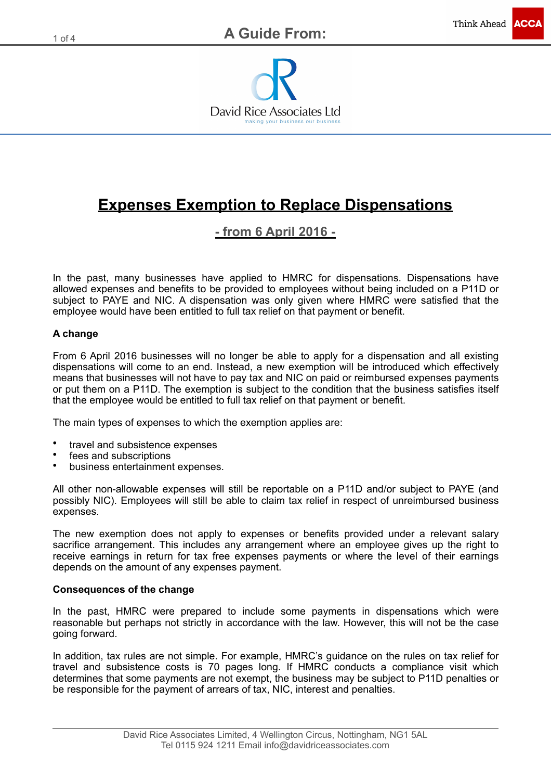

# **Expenses Exemption to Replace Dispensations**

### **- from 6 April 2016 -**

In the past, many businesses have applied to HMRC for dispensations. Dispensations have allowed expenses and benefits to be provided to employees without being included on a P11D or subject to PAYE and NIC. A dispensation was only given where HMRC were satisfied that the employee would have been entitled to full tax relief on that payment or benefit.

### **A change**

From 6 April 2016 businesses will no longer be able to apply for a dispensation and all existing dispensations will come to an end. Instead, a new exemption will be introduced which effectively means that businesses will not have to pay tax and NIC on paid or reimbursed expenses payments or put them on a P11D. The exemption is subject to the condition that the business satisfies itself that the employee would be entitled to full tax relief on that payment or benefit.

The main types of expenses to which the exemption applies are:

- travel and subsistence expenses
- fees and subscriptions
- business entertainment expenses.

All other non-allowable expenses will still be reportable on a P11D and/or subject to PAYE (and possibly NIC). Employees will still be able to claim tax relief in respect of unreimbursed business expenses.

The new exemption does not apply to expenses or benefits provided under a relevant salary sacrifice arrangement. This includes any arrangement where an employee gives up the right to receive earnings in return for tax free expenses payments or where the level of their earnings depends on the amount of any expenses payment.

### **Consequences of the change**

In the past, HMRC were prepared to include some payments in dispensations which were reasonable but perhaps not strictly in accordance with the law. However, this will not be the case going forward.

In addition, tax rules are not simple. For example, HMRC's guidance on the rules on tax relief for travel and subsistence costs is 70 pages long. If HMRC conducts a compliance visit which determines that some payments are not exempt, the business may be subject to P11D penalties or be responsible for the payment of arrears of tax, NIC, interest and penalties.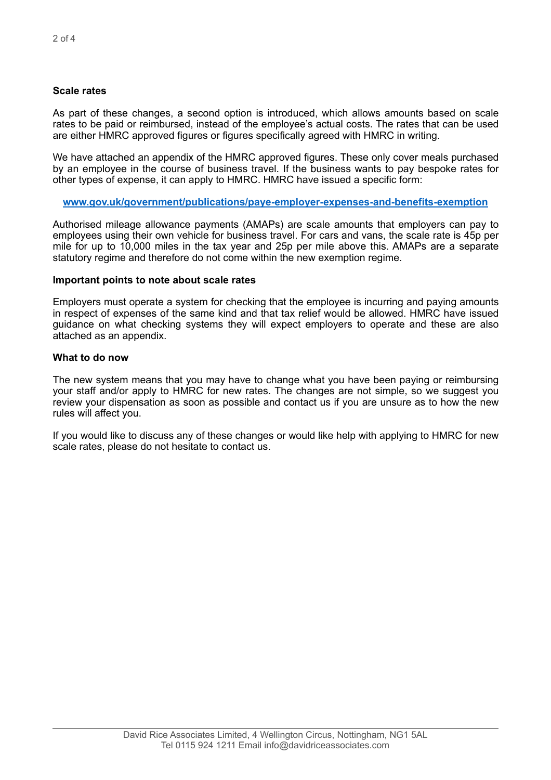### **Scale rates**

As part of these changes, a second option is introduced, which allows amounts based on scale rates to be paid or reimbursed, instead of the employee's actual costs. The rates that can be used are either HMRC approved figures or figures specifically agreed with HMRC in writing.

We have attached an appendix of the HMRC approved figures. These only cover meals purchased by an employee in the course of business travel. If the business wants to pay bespoke rates for other types of expense, it can apply to HMRC. HMRC have issued a specific form:

**[www.gov.uk/government/publications/paye-employer-expenses-and-benefits-exemption](http://www.gov.uk/government/publications/paye-employer-expenses-and-benefits-exemption)**

Authorised mileage allowance payments (AMAPs) are scale amounts that employers can pay to employees using their own vehicle for business travel. For cars and vans, the scale rate is 45p per mile for up to 10,000 miles in the tax year and 25p per mile above this. AMAPs are a separate statutory regime and therefore do not come within the new exemption regime.

### **Important points to note about scale rates**

Employers must operate a system for checking that the employee is incurring and paying amounts in respect of expenses of the same kind and that tax relief would be allowed. HMRC have issued guidance on what checking systems they will expect employers to operate and these are also attached as an appendix.

### **What to do now**

The new system means that you may have to change what you have been paying or reimbursing your staff and/or apply to HMRC for new rates. The changes are not simple, so we suggest you review your dispensation as soon as possible and contact us if you are unsure as to how the new rules will affect you.

If you would like to discuss any of these changes or would like help with applying to HMRC for new scale rates, please do not hesitate to contact us.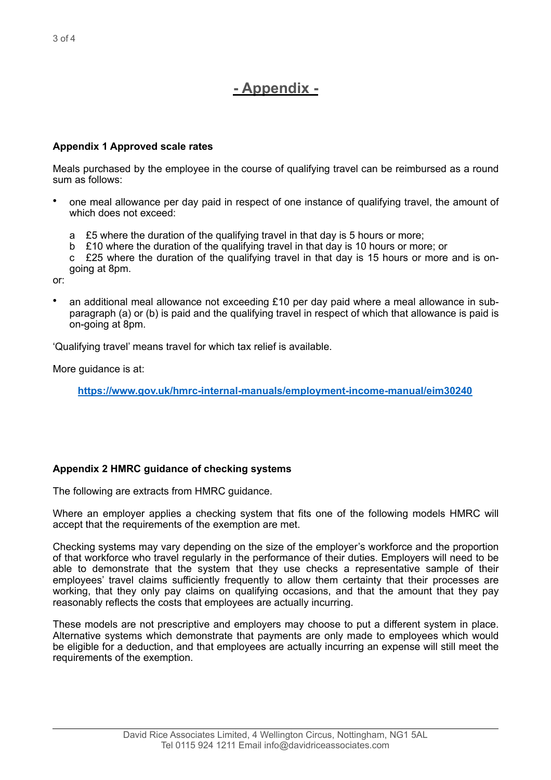## **- Appendix -**

### **Appendix 1 Approved scale rates**

Meals purchased by the employee in the course of qualifying travel can be reimbursed as a round sum as follows:

- one meal allowance per day paid in respect of one instance of qualifying travel, the amount of which does not exceed:
	- a £5 where the duration of the qualifying travel in that day is 5 hours or more;
	- b £10 where the duration of the qualifying travel in that day is 10 hours or more; or
	- c £25 where the duration of the qualifying travel in that day is 15 hours or more and is ongoing at 8pm.

or:

• an additional meal allowance not exceeding £10 per day paid where a meal allowance in subparagraph (a) or (b) is paid and the qualifying travel in respect of which that allowance is paid is on-going at 8pm.

'Qualifying travel' means travel for which tax relief is available.

More guidance is at:

**<https://www.gov.uk/hmrc-internal-manuals/employment-income-manual/eim30240>**

### **Appendix 2 HMRC guidance of checking systems**

The following are extracts from HMRC guidance.

Where an employer applies a checking system that fits one of the following models HMRC will accept that the requirements of the exemption are met.

Checking systems may vary depending on the size of the employer's workforce and the proportion of that workforce who travel regularly in the performance of their duties. Employers will need to be able to demonstrate that the system that they use checks a representative sample of their employees' travel claims sufficiently frequently to allow them certainty that their processes are working, that they only pay claims on qualifying occasions, and that the amount that they pay reasonably reflects the costs that employees are actually incurring.

These models are not prescriptive and employers may choose to put a different system in place. Alternative systems which demonstrate that payments are only made to employees which would be eligible for a deduction, and that employees are actually incurring an expense will still meet the requirements of the exemption.